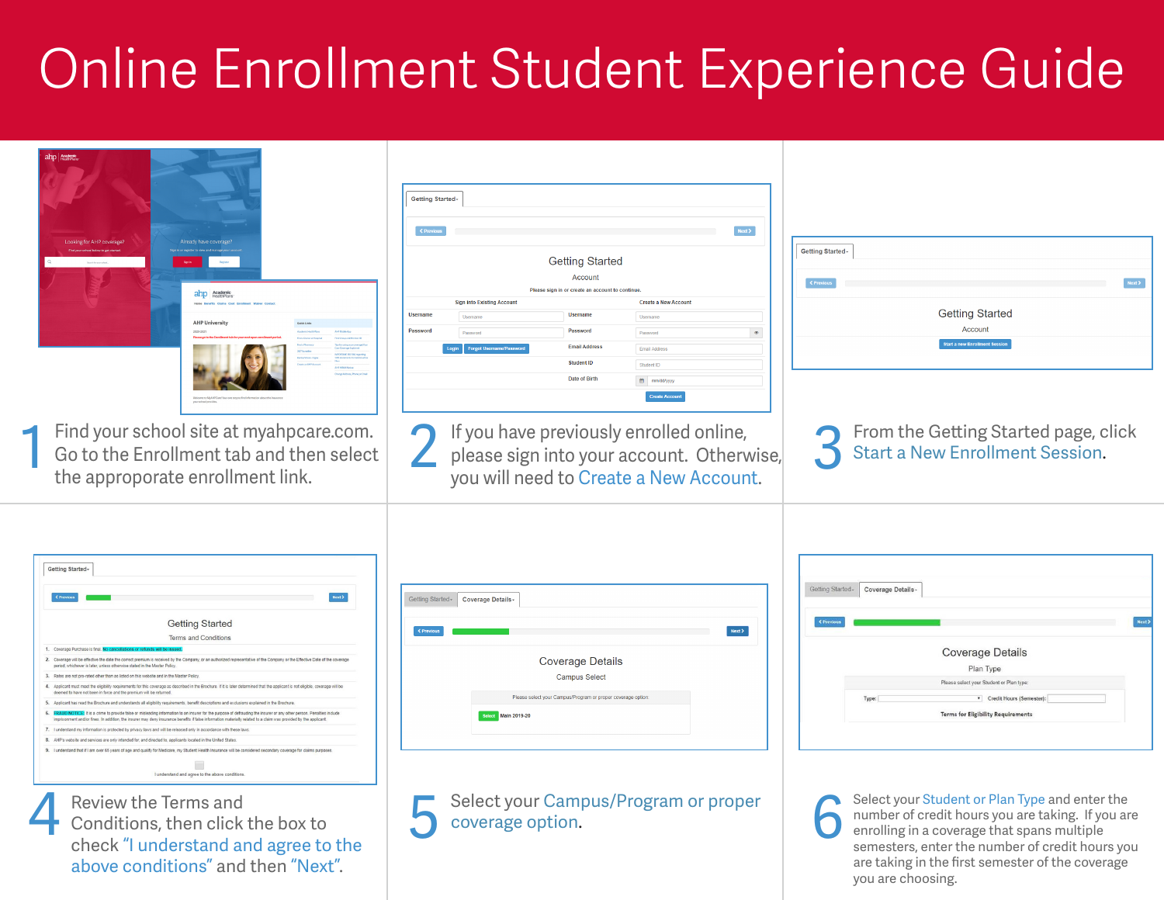## Online Enrollment Student Experience Guide

| ahp Academic<br>ooking for AHP coverage<br>ahp Academic<br><b>AHP Universit</b>                                                                                                                                                                                                                                                                                                                                                                                                                                                                                                                                                                                                                                                                                                                                                                                                                                                                                                                                                                                                                                                                                                                                                                                                                                   | Getting Started-<br>Next $\blacktriangleright$<br><b>Getting Started</b><br>Account<br>Please sign in or create an account to continue<br><b>Sign into Existing Account</b><br><b>Create a New Account</b><br>Username<br><b>Username</b><br>Usemame<br>Usemam<br>Password<br>Password<br>Password<br>$\circledast$<br><b>Email Address</b><br>Email Address<br>Student ID<br>Student ID<br>Date of Birth<br>mm/dd/yyyy<br><b>Create Accou</b> | Getting Started-<br><b>Getting Started</b><br>Account<br><b>Start a new Enrollment Session</b>                                                                                                        |
|-------------------------------------------------------------------------------------------------------------------------------------------------------------------------------------------------------------------------------------------------------------------------------------------------------------------------------------------------------------------------------------------------------------------------------------------------------------------------------------------------------------------------------------------------------------------------------------------------------------------------------------------------------------------------------------------------------------------------------------------------------------------------------------------------------------------------------------------------------------------------------------------------------------------------------------------------------------------------------------------------------------------------------------------------------------------------------------------------------------------------------------------------------------------------------------------------------------------------------------------------------------------------------------------------------------------|------------------------------------------------------------------------------------------------------------------------------------------------------------------------------------------------------------------------------------------------------------------------------------------------------------------------------------------------------------------------------------------------------------------------------------------------|-------------------------------------------------------------------------------------------------------------------------------------------------------------------------------------------------------|
| Find your school site at myahpcare.com.<br>┥<br>Go to the Enrollment tab and then select<br>the approporate enrollment link.                                                                                                                                                                                                                                                                                                                                                                                                                                                                                                                                                                                                                                                                                                                                                                                                                                                                                                                                                                                                                                                                                                                                                                                      | If you have previously enrolled online,<br>please sign into your account. Otherwise,<br>you will need to Create a New Account.                                                                                                                                                                                                                                                                                                                 | From the Getting Started page, click<br><b>Start a New Enrollment Session.</b>                                                                                                                        |
| Getting Started-<br>Next ><br><b>Getting Started</b><br>Terms and Conditions<br>1. Coverage Purchase is final.<br>oe will be effective the date the correct premium is received by the Com-<br>entative of the Cornoany or the Effective Date of the co<br>teriod, whichever is later, unless otherwise stated in the Master Policy<br>-rated other than as listed on this website and in the Master Poli-<br>t must meet the elicibility requirements for this coverage as des<br>deemed to have not been in force and the premium will be returned<br>5. Annicant has read the Rrochure and understands all eligibility<br>ation to an insurer for the purpose of defrauding the insurer or any other person. Penalties includ-<br>ment and/or fines. In addition, the insurer may deny insurance benefits if false information materially related to a claim was o<br>I my information is protected by privacy laws and will be released only in accordance with these<br>8. AHP's website and services are only intended for, and directed to, applicants located in the United States<br>9. I understand that if I am over 65 years of age and qualify for Medicare, my Student Health Insurance will be considered secondary coverage for claims purpose<br>I understand and agree to the above conditions. | Getting Started - Coverage Details -<br><b>Coverage Details</b><br><b>Campus Select</b><br>Please select your Campus/Program or proper coverage option<br>Select Main 2019-20                                                                                                                                                                                                                                                                  | Getting Started - Coverage Details -<br><b>Coverage Details</b><br>Plan Type<br>Please select your Student or Plan type:<br>v Credit Hours (Semester)<br><b>Terms for Eligibility Requirements</b>    |
| Review the Terms and<br>Conditions, then click the box to<br>check "I understand and agree to the                                                                                                                                                                                                                                                                                                                                                                                                                                                                                                                                                                                                                                                                                                                                                                                                                                                                                                                                                                                                                                                                                                                                                                                                                 | Select your Campus/Program or proper<br>coverage option.                                                                                                                                                                                                                                                                                                                                                                                       | Select your Student or Plan Type and enter the<br>number of credit hours you are taking. If you are<br>enrolling in a coverage that spans multiple<br>semesters, enter the number of credit hours you |

are taking in the first semester of the coverage

you are choosing.

check "I understand and agree to the above conditions" and then "Next".